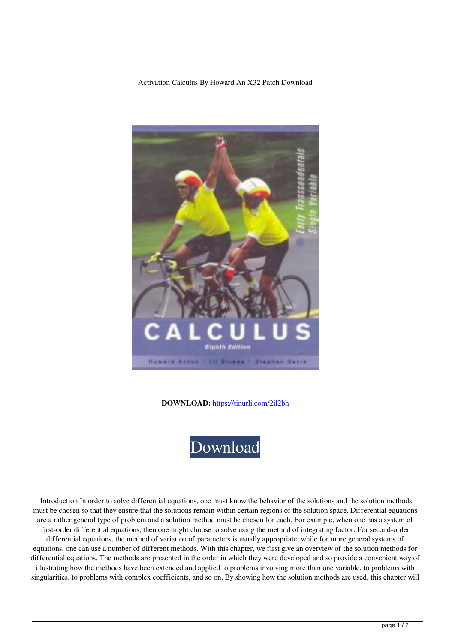## Activation Calculus By Howard An X32 Patch Download



**DOWNLOAD:** <https://tinurli.com/2il2bh>



 Introduction In order to solve differential equations, one must know the behavior of the solutions and the solution methods must be chosen so that they ensure that the solutions remain within certain regions of the solution space. Differential equations are a rather general type of problem and a solution method must be chosen for each. For example, when one has a system of first-order differential equations, then one might choose to solve using the method of integrating factor. For second-order differential equations, the method of variation of parameters is usually appropriate, while for more general systems of equations, one can use a number of different methods. With this chapter, we first give an overview of the solution methods for differential equations. The methods are presented in the order in which they were developed and so provide a convenient way of illustrating how the methods have been extended and applied to problems involving more than one variable, to problems with singularities, to problems with complex coefficients, and so on. By showing how the solution methods are used, this chapter will